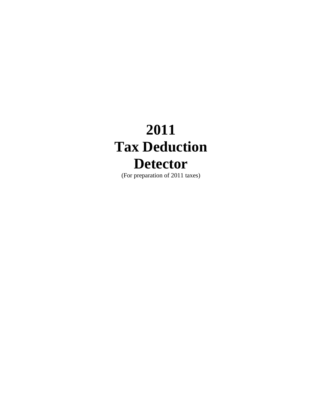# **2011 Tax Deduction Detector**

(For preparation of 2011 taxes)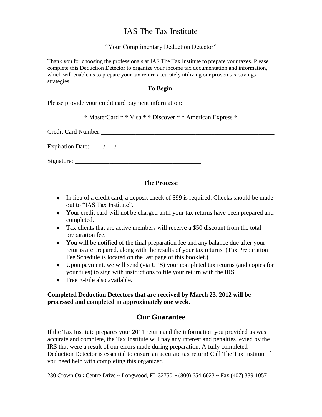## IAS The Tax Institute

#### "Your Complimentary Deduction Detector"

Thank you for choosing the professionals at IAS The Tax Institute to prepare your taxes. Please complete this Deduction Detector to organize your income tax documentation and information, which will enable us to prepare your tax return accurately utilizing our proven tax-savings strategies.

#### **To Begin:**

Please provide your credit card payment information:

\* MasterCard \* \* Visa \* \* Discover \* \* American Express \*

Credit Card Number:\_\_\_\_\_\_\_\_\_\_\_\_\_\_\_\_\_\_\_\_\_\_\_\_\_\_\_\_\_\_\_\_\_\_\_\_\_\_\_\_\_\_\_\_\_\_\_\_\_\_\_\_\_\_\_

Expiration Date:  $\frac{\sqrt{2}}{2}$ 

Signature: \_\_\_\_\_\_\_\_\_\_\_\_\_\_\_\_\_\_\_\_\_\_\_\_\_\_\_\_\_\_\_\_\_\_\_\_\_\_\_\_

#### **The Process:**

- In lieu of a credit card, a deposit check of \$99 is required. Checks should be made out to "IAS Tax Institute".
- Your credit card will not be charged until your tax returns have been prepared and completed.
- Tax clients that are active members will receive a \$50 discount from the total preparation fee.
- You will be notified of the final preparation fee and any balance due after your returns are prepared, along with the results of your tax returns. (Tax Preparation Fee Schedule is located on the last page of this booklet.)
- Upon payment, we will send (via UPS) your completed tax returns (and copies for your files) to sign with instructions to file your return with the IRS.
- Free E-File also available.

#### **Completed Deduction Detectors that are received by March 23, 2012 will be processed and completed in approximately one week.**

### **Our Guarantee**

If the Tax Institute prepares your 2011 return and the information you provided us was accurate and complete, the Tax Institute will pay any interest and penalties levied by the IRS that were a result of our errors made during preparation. A fully completed Deduction Detector is essential to ensure an accurate tax return! Call The Tax Institute if you need help with completing this organizer.

230 Crown Oak Centre Drive ~ Longwood, FL 32750 ~ (800) 654-6023 ~ Fax (407) 339-1057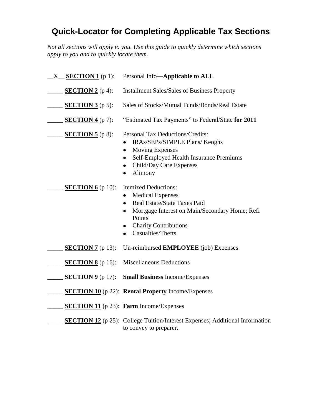## **Quick-Locator for Completing Applicable Tax Sections**

*Not all sections will apply to you. Use this guide to quickly determine which sections apply to you and to quickly locate them.*

| <b>SECTION 1</b> (p 1):<br>$\rm X$ | Personal Info-Applicable to ALL                                                                                                                                                                                                                             |
|------------------------------------|-------------------------------------------------------------------------------------------------------------------------------------------------------------------------------------------------------------------------------------------------------------|
| <b>SECTION 2</b> ( $p$ 4):         | <b>Installment Sales/Sales of Business Property</b>                                                                                                                                                                                                         |
| <b>SECTION 3</b> ( $p 5$ ):        | Sales of Stocks/Mutual Funds/Bonds/Real Estate                                                                                                                                                                                                              |
| <b>SECTION 4</b> (p 7):            | "Estimated Tax Payments" to Federal/State for 2011                                                                                                                                                                                                          |
| <b>SECTION 5</b> ( $p 8$ ):        | Personal Tax Deductions/Credits:<br>IRAs/SEPs/SIMPLE Plans/ Keoghs<br><b>Moving Expenses</b><br>$\bullet$<br>Self-Employed Health Insurance Premiums<br>$\bullet$<br>Child/Day Care Expenses<br>Alimony                                                     |
| <b>SECTION 6</b> (p 10):           | <b>Itemized Deductions:</b><br><b>Medical Expenses</b><br>$\bullet$<br>Real Estate/State Taxes Paid<br>$\bullet$<br>Mortgage Interest on Main/Secondary Home; Refi<br>$\bullet$<br>Points<br><b>Charity Contributions</b><br>$\bullet$<br>Casualties/Thefts |
| <b>SECTION 7</b> (p 13):           | Un-reimbursed <b>EMPLOYEE</b> (job) Expenses                                                                                                                                                                                                                |
| <b>SECTION 8</b> (p 16):           | <b>Miscellaneous Deductions</b>                                                                                                                                                                                                                             |
| <b>SECTION 9</b> (p 17):           | <b>Small Business Income/Expenses</b>                                                                                                                                                                                                                       |
|                                    | <b>SECTION 10</b> (p 22): <b>Rental Property</b> Income/Expenses                                                                                                                                                                                            |
|                                    | <b>SECTION 11</b> ( $p$ 23): <b>Farm</b> Income/Expenses                                                                                                                                                                                                    |
|                                    | <b>SECTION 12</b> (p 25): College Tuition/Interest Expenses; Additional Information<br>to convey to preparer.                                                                                                                                               |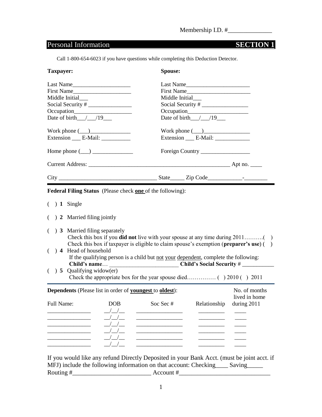## Personal Information **SECTION 1**

Call 1-800-654-6023 if you have questions while completing this Deduction Detector.

| Taxpayer:                                                                                                                                                                                                            | Spouse:                                                                                                                                                                                   |
|----------------------------------------------------------------------------------------------------------------------------------------------------------------------------------------------------------------------|-------------------------------------------------------------------------------------------------------------------------------------------------------------------------------------------|
| Last Name<br>First Name<br>Middle Initial<br>Social Security #<br>Date of birth $/$ /19                                                                                                                              | Last Name<br>First Name<br>Middle Initial<br>Date of birth $/$ /19                                                                                                                        |
| Work phone $(\_\_)$<br>Extension _____ E-Mail: ____________                                                                                                                                                          | Work phone $(\_)$                                                                                                                                                                         |
| Home phone $(\_\_)$                                                                                                                                                                                                  | Foreign Country                                                                                                                                                                           |
|                                                                                                                                                                                                                      |                                                                                                                                                                                           |
|                                                                                                                                                                                                                      |                                                                                                                                                                                           |
| Federal Filing Status (Please check one of the following):<br>$( ) 1$ Single<br>$( ) 2$ Married filing jointly<br>$($ $)$ 3 Married filing separately<br>$($ $)$ 4 Head of household<br>$($ ) 5 Qualifying widow(er) | Check this box if taxpayer is eligible to claim spouse's exemption ( <b>preparer's use</b> ) $($ )<br>If the qualifying person is a child but not your dependent, complete the following: |
| <b>Dependents</b> (Please list in order of youngest to oldest):<br>Full Name:<br><b>DOB</b><br>$/$ $/$ $/$<br>$/$ $/$ $-$                                                                                            | No. of months<br>lived in home<br>Soc Sec #<br>Relationship<br>during 2011                                                                                                                |

If you would like any refund Directly Deposited in your Bank Acct. (must be joint acct. if MFJ) include the following information on that account: Checking\_\_\_\_\_ Saving\_\_\_\_\_ Routing  $\#$   $\longrightarrow$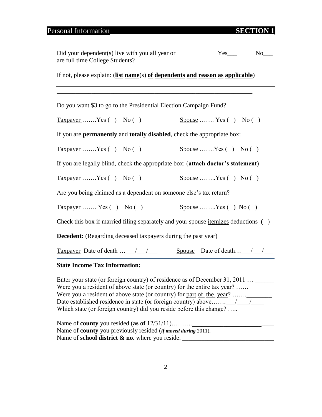## Personal Information **SECTION 1**

| Did your dependent (s) live with you all year or<br>are full time College Students?                                                                                                                                                              | $Yes$ <sub>____</sub><br>$No$ <sub>___</sub>                                                                                           |
|--------------------------------------------------------------------------------------------------------------------------------------------------------------------------------------------------------------------------------------------------|----------------------------------------------------------------------------------------------------------------------------------------|
| If not, please explain: (list name(s) of dependents and reason as applicable)                                                                                                                                                                    |                                                                                                                                        |
|                                                                                                                                                                                                                                                  |                                                                                                                                        |
| Do you want \$3 to go to the Presidential Election Campaign Fund?                                                                                                                                                                                |                                                                                                                                        |
| $\overline{\text{Taxpayer}}$ Yes () No ()                                                                                                                                                                                                        | Spouse  Yes $( )$ No $( )$                                                                                                             |
| If you are <b>permanently</b> and <b>totally disabled</b> , check the appropriate box:                                                                                                                                                           |                                                                                                                                        |
| $Taxpayer$ Yes () No ()                                                                                                                                                                                                                          | $\frac{p_{\text{pouse}}}{p_{\text{pike}}}$ $\ldots$ $\frac{p_{\text{e}}}{p_{\text{e}}}\$ $\ldots$ $\frac{p_{\text{e}}}{p_{\text{e}}}\$ |
| If you are legally blind, check the appropriate box: (attach doctor's statement)                                                                                                                                                                 |                                                                                                                                        |
| $\frac{y}{x}$ Taxpayer  Yes () No ()                                                                                                                                                                                                             | Spouse  Yes $( )$ No $( )$                                                                                                             |
| Are you being claimed as a dependent on someone else's tax return?                                                                                                                                                                               |                                                                                                                                        |
| $Taxpayer$ Yes () No ()                                                                                                                                                                                                                          | $\text{Spouse } \dots \dots \text{Yes } (\ ) \text{No } (\ )$                                                                          |
| Check this box if married filing separately and your spouse itemizes deductions ()                                                                                                                                                               |                                                                                                                                        |
| <b>Decedent:</b> (Regarding deceased taxpayers during the past year)                                                                                                                                                                             |                                                                                                                                        |
| Taxpayer Date of death $\angle$ / $\angle$ Spouse Date of death / /                                                                                                                                                                              |                                                                                                                                        |
| <b>State Income Tax Information:</b>                                                                                                                                                                                                             |                                                                                                                                        |
| Enter your state (or foreign country) of residence as of December 31, 2011<br>Were you a resident of above state (or country) for the entire tax year? ________<br>Were you a resident of above state (or country) for <u>part of the year</u> ? |                                                                                                                                        |

Name of **county** you resided (**as of** 12/31/11)……….\_\_\_\_\_\_\_\_\_\_\_\_\_\_\_\_\_\_\_\_\_\_\_\_\_\_ Name of **county** you previously resided (*if moved during* 2011). \_\_\_\_\_\_\_\_\_\_\_\_\_\_\_\_\_\_\_\_\_\_\_ Name of **school district & no.** where you reside. \_\_\_\_\_\_\_\_\_\_\_\_\_\_\_\_\_\_\_\_\_\_\_\_\_\_\_\_\_

Which state (or foreign country) did you reside before this change?  $\dots$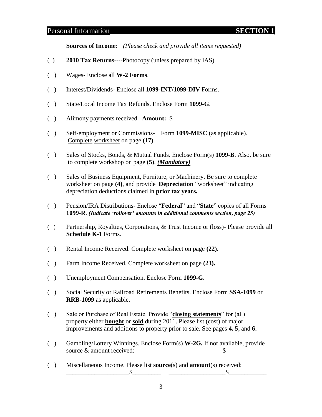#### Personal Information **SECTION 1**

**Sources of Income**: *(Please check and provide all items requested)*

- ( ) **2010 Tax Returns**----Photocopy (unless prepared by IAS)
- ( ) Wages- Enclose all **W-2 Forms**.
- ( ) Interest/Dividends- Enclose all **1099-INT/1099-DIV** Forms.
- ( ) State/Local Income Tax Refunds. Enclose Form **1099-G**.
- ( ) Alimony payments received. **Amount:** \$\_\_\_\_\_\_\_\_\_\_
- ( ) Self-employment or Commissions- Form **1099-MISC** (as applicable). Complete worksheet on page **(17)**
- ( ) Sales of Stocks, Bonds, & Mutual Funds. Enclose Form(s) **1099-B**. Also, be sure to complete workshop on page **(5)**. *(Mandatory)*
- ( ) Sales of Business Equipment, Furniture, or Machinery. Be sure to complete worksheet on page (4), and provide **Depreciation** "worksheet" indicating depreciation deductions claimed in **prior tax years.**
- ( ) Pension/IRA Distributions- Enclose "**Federal**" and "State" copies of all Forms **1099-R**. *(Indicate "rollover" amounts in additional comments section, page 25)*
- ( ) Partnership, Royalties, Corporations, & Trust Income or (loss)- Please provide all **Schedule K-1** Forms.
- ( ) Rental Income Received. Complete worksheet on page **(22).**
- ( ) Farm Income Received. Complete worksheet on page **(23).**
- ( ) Unemployment Compensation. Enclose Form **1099-G.**
- ( ) Social Security or Railroad Retirements Benefits. Enclose Form **SSA-1099** or **RRB-1099** as applicable.
- ( ) Sale or Purchase of Real Estate. Provide "**closing statements**" for (all) property either **bought** or **sold** during 2011. Please list (cost) of major improvements and additions to property prior to sale. See pages **4, 5,** and **6.**
- ( ) Gambling/Lottery Winnings. Enclose Form(s) **W-2G.** If not available, provide source & amount received:
- ( ) Miscellaneous Income. Please list **source**(s) and **amount**(s) received:  $\frac{\$$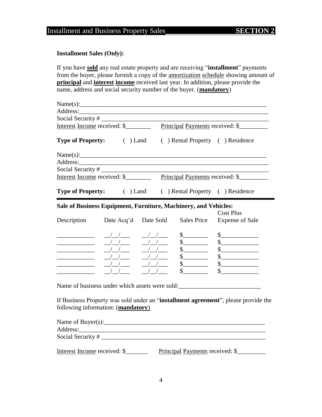#### **Installment Sales (Only):**

If you have **sold** any real estate property and are receiving "installment" payments from the buyer, please furnish a copy of the amortization schedule showing amount of **principal** and **interest income** received last year. In addition, please provide the name, address and social security number of the buyer. (**mandatory**)

|                                         | Name(s):                                                        |                           |                                                                                                                                                                                                                                                                                                                                                                              |                                                                                          |
|-----------------------------------------|-----------------------------------------------------------------|---------------------------|------------------------------------------------------------------------------------------------------------------------------------------------------------------------------------------------------------------------------------------------------------------------------------------------------------------------------------------------------------------------------|------------------------------------------------------------------------------------------|
|                                         |                                                                 |                           |                                                                                                                                                                                                                                                                                                                                                                              |                                                                                          |
|                                         |                                                                 |                           |                                                                                                                                                                                                                                                                                                                                                                              | Social Security #<br>Interest Income received: \$<br>Principal Payments received: \$     |
|                                         |                                                                 |                           |                                                                                                                                                                                                                                                                                                                                                                              |                                                                                          |
|                                         |                                                                 |                           |                                                                                                                                                                                                                                                                                                                                                                              | <b>Type of Property:</b> (b) Land (c) Rental Property (c) Residence                      |
|                                         |                                                                 |                           |                                                                                                                                                                                                                                                                                                                                                                              |                                                                                          |
|                                         |                                                                 |                           |                                                                                                                                                                                                                                                                                                                                                                              |                                                                                          |
|                                         |                                                                 |                           |                                                                                                                                                                                                                                                                                                                                                                              |                                                                                          |
|                                         |                                                                 |                           |                                                                                                                                                                                                                                                                                                                                                                              | Interest Income received: \$ Principal Payments received: \$                             |
|                                         |                                                                 |                           |                                                                                                                                                                                                                                                                                                                                                                              | <b>Type of Property:</b> (i) Land (i) Rental Property (i) Residence                      |
|                                         | Sale of Business Equipment, Furniture, Machinery, and Vehicles: |                           |                                                                                                                                                                                                                                                                                                                                                                              |                                                                                          |
|                                         |                                                                 |                           |                                                                                                                                                                                                                                                                                                                                                                              | <b>Cost Plus</b>                                                                         |
| Description                             |                                                                 | Date Acq'd Date Sold      | <b>Sales Price</b>                                                                                                                                                                                                                                                                                                                                                           | <b>Expense of Sale</b>                                                                   |
|                                         | $\frac{\sqrt{}}{\sqrt{2}}$                                      | $\frac{\sqrt{}}{\sqrt{}}$ | $\frac{\S_{\frac{1}{2}}}{\S_{\frac{1}{2}}}{\S_{\frac{1}{2}}}{\S_{\frac{1}{2}}}{\S_{\frac{1}{2}}}{\S_{\frac{1}{2}}}{\S_{\frac{1}{2}}}{\S_{\frac{1}{2}}}{\S_{\frac{1}{2}}}{\S_{\frac{1}{2}}}{\S_{\frac{1}{2}}}{\S_{\frac{1}{2}}}{\S_{\frac{1}{2}}}{\S_{\frac{1}{2}}}{\S_{\frac{1}{2}}}{\S_{\frac{1}{2}}}{\S_{\frac{1}{2}}}{\S_{\frac{1}{2}}}{\S_{\frac{1}{2}}}{\S_{\frac{1}{2$ | $\begin{array}{c c} \n\hline\n\end{array}$                                               |
| <u> 1990 - Johann Barbara, martin a</u> | $\frac{\frac{1}{2}}{\frac{1}{2}}$                               | $\frac{1}{2}$             |                                                                                                                                                                                                                                                                                                                                                                              | $\begin{array}{c c} \n\multicolumn{3}{c }{\textbf{\textcolor{red}{\bf S}}}\n\end{array}$ |
|                                         | $\frac{1}{2}$                                                   | $\frac{1}{2}$             |                                                                                                                                                                                                                                                                                                                                                                              | s                                                                                        |
|                                         | $\frac{1}{2}$                                                   | $1 - 1$                   | $\begin{array}{c}\n  \  \  \, 8 \\   \  \  \, 8\n \end{array}$                                                                                                                                                                                                                                                                                                               | $\begin{array}{c c} \n\hline\n\end{array}$                                               |
| <u> 1980 - Johann Barbara, martin a</u> |                                                                 |                           |                                                                                                                                                                                                                                                                                                                                                                              | $\begin{array}{c c} \n\hline\n\end{array}$                                               |
|                                         |                                                                 |                           | $\sim$                                                                                                                                                                                                                                                                                                                                                                       | $\sim$                                                                                   |
|                                         |                                                                 |                           |                                                                                                                                                                                                                                                                                                                                                                              | Name of business under which assets were sold:                                           |
|                                         | following information: (mandatory)                              |                           |                                                                                                                                                                                                                                                                                                                                                                              | If Business Property was sold under an "installment agreement", please provide the       |
|                                         | Name of Buyer(s): $\frac{1}{2}$ Mame of Buyer(s):               |                           |                                                                                                                                                                                                                                                                                                                                                                              |                                                                                          |
|                                         |                                                                 |                           |                                                                                                                                                                                                                                                                                                                                                                              |                                                                                          |
|                                         |                                                                 |                           |                                                                                                                                                                                                                                                                                                                                                                              |                                                                                          |
|                                         |                                                                 |                           |                                                                                                                                                                                                                                                                                                                                                                              |                                                                                          |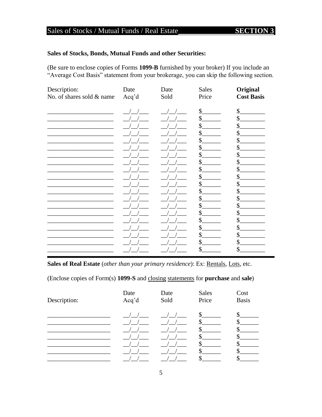## Sales of Stocks / Mutual Funds / Real Estate

#### Sales of Stocks, Bonds, Mutual Funds and other Securities:

(Be sure to enclose copies of Forms 1099-B furnished by your broker) If you include an "Average Cost Basis" statement from your brokerage, you can skip the following section.

| Description:              | Date  | Date | <b>Sales</b> | Original          |
|---------------------------|-------|------|--------------|-------------------|
| No. of shares sold & name | Acq'd | Sold | Price        | <b>Cost Basis</b> |
|                           |       |      | \$           | $\mathcal{S}$     |
|                           |       |      | \$           | \$                |
|                           |       |      | \$           | \$                |
|                           |       |      | \$           | \$                |
|                           |       |      | \$           | \$                |
|                           |       |      | \$           | \$                |
|                           |       |      | \$           | \$                |
|                           |       |      | \$           | \$                |
|                           |       |      | $\mathsf{S}$ | \$                |
|                           |       |      | \$           | \$                |
|                           |       |      | \$           | \$                |
|                           |       |      | \$           | \$                |
|                           |       |      | \$           | \$                |
|                           |       |      | $\mathsf{S}$ | \$                |
|                           |       |      | \$           | \$                |
|                           |       |      | \$           | \$                |
|                           |       |      | \$           | \$                |
|                           |       |      | \$           | \$                |
|                           |       |      | \$           | \$                |
|                           |       |      | \$           | \$                |
|                           |       |      |              |                   |

Sales of Real Estate (other than your primary residence): Ex: Rentals, Lots, etc.

(Enclose copies of Form(s) 1099-S and closing statements for purchase and sale)

| Description: | Date  | Date | <b>Sales</b> | Cost         |
|--------------|-------|------|--------------|--------------|
|              | Acq'd | Sold | Price        | <b>Basis</b> |
|              |       |      | S.           |              |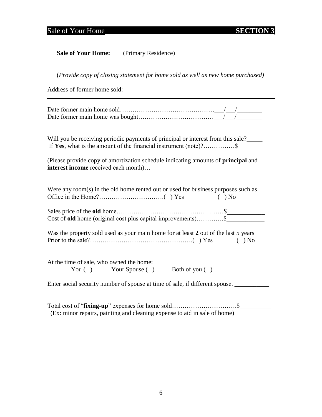## Sale of Your Home **SECTION 3**

| <b>Sale of Your Home:</b> | (Primary Residence) |
|---------------------------|---------------------|
|---------------------------|---------------------|

(*Provide copy of closing statement for home sold as well as new home purchased)*

Address of former home sold:\_\_\_\_\_\_\_\_\_\_\_\_\_\_\_\_\_\_\_\_\_\_\_\_\_\_\_\_\_\_\_\_\_\_\_\_\_\_\_\_\_\_\_

Will you be receiving periodic payments of principal or interest from this sale? If **Yes**, what is the amount of the financial instrument (note)?……………\$\_\_\_\_\_\_\_\_

(Please provide copy of amortization schedule indicating amounts of **principal** and **interest income** received each month)…

| Were any room(s) in the old home rented out or used for business purposes such as<br>$( )$ No |
|-----------------------------------------------------------------------------------------------|
|                                                                                               |
| Cost of <b>old</b> home (original cost plus capital improvements)\$                           |
| Was the property sold used as your main home for at least 2 out of the last 5 years           |
|                                                                                               |
| At the time of sale, who owned the home:                                                      |
| You () Your Spouse () Both of you ()                                                          |
| Enter social security number of spouse at time of sale, if different spouse.                  |

| (Ex: minor repairs, painting and cleaning expense to aid in sale of home) |  |
|---------------------------------------------------------------------------|--|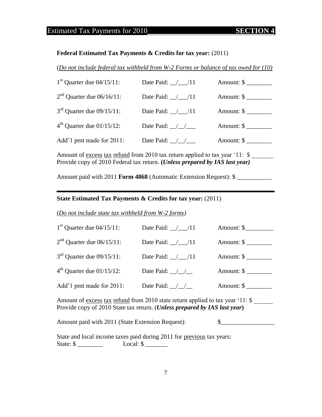### Estimated Tax Payments for 2010 **SECTION 4**

#### **Federal Estimated Tax Payments & Credits for tax year:** (2011)

(*Do not include federal tax withheld from W-2 Forms or balance of tax owed for (10)*

| $1st$ Quarter due 04/15/11: | Date Paid: $/$ /11      | Amount: $\frac{1}{2}$ |
|-----------------------------|-------------------------|-----------------------|
| $2nd$ Quarter due 06/16/11: | Date Paid: $\angle$ /11 | Amount: $\frac{1}{2}$ |
| $3rd$ Quarter due 09/15/11: | Date Paid: $/$ /11      | Amount: \$            |
| $4th$ Quarter due 01/15/12: | Date Paid: $\angle$ /   | Amount: $\frac{1}{2}$ |
| Add'1 pmt made for 2011:    | Date Paid: $\angle$ /   | Amount: \$            |

Amount of <u>excess tax refund</u> from 2010 tax return applied to tax year '11: \$ Provide copy of 2010 Federal tax return. **(***Unless prepared by IAS last year)*

Amount paid with 2011 **Form 4868** (Automatic Extension Request): \$ \_\_\_\_\_\_\_\_\_\_\_

#### **State Estimated Tax Payments & Credits for tax year:** (2011)

(*Do not include state tax withheld from W-2 forms)*

| $1st$ Quarter due 04/15/11: | Date Paid: $/$ /11      | Amount: \$            |
|-----------------------------|-------------------------|-----------------------|
| $2nd$ Quarter due 06/15/11: | Date Paid: $\angle$ /11 | Amount: $\frac{1}{2}$ |
| $3rd$ Quarter due 09/15/11: | Date Paid: $\angle$ /11 | Amount: $\frac{1}{2}$ |
| $4th$ Quarter due 01/15/12: | Date Paid: $\angle$ /   | Amount: $\frac{1}{2}$ |
| Add'1 pmt made for 2011:    | Date Paid: $\angle$     | Amount: $\frac{1}{2}$ |

Amount of <u>excess tax refund</u> from 2010 state return applied to tax year '11: \$ Provide copy of 2010 State tax return. (*Unless prepared by IAS last year***)**

Amount paid with 2011 (State Extension Request):  $\qquad \qquad$  \$

State and local income taxes paid during 2011 for previous tax years: State: \$ \_\_\_\_\_\_\_\_ Local: \$ \_\_\_\_\_\_\_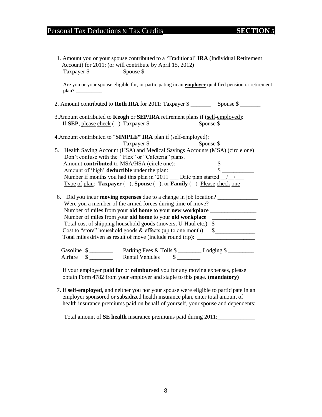## Personal Tax Deductions & Tax Credits **SECTION** 5

|       |                                                                                                       | Are you or your spouse eligible for, or participating in an <b>employer</b> qualified pension or retirement |
|-------|-------------------------------------------------------------------------------------------------------|-------------------------------------------------------------------------------------------------------------|
| plan? |                                                                                                       |                                                                                                             |
|       |                                                                                                       |                                                                                                             |
|       | 3. Amount contributed to Keogh or SEP/IRA retirement plans if (self-employed):                        |                                                                                                             |
|       | If <b>SEP</b> , please check () Taxpayer \$                                                           |                                                                                                             |
|       | 4. Amount contributed to "SIMPLE" IRA plan if (self-employed):                                        |                                                                                                             |
|       |                                                                                                       |                                                                                                             |
|       | Taxpayer \$<br>5. Health Saving Account (HSA) and Medical Savings Accounts (MSA) (circle one)         |                                                                                                             |
|       | Don't confuse with the "Flex" or "Cafeteria" plans.                                                   |                                                                                                             |
|       | Amount contributed to MSA/HSA (circle one):                                                           |                                                                                                             |
|       | Amount of 'high' <b>deductible</b> under the plan:                                                    | $\frac{\text{S}}{\text{S}}$                                                                                 |
|       | Number if months you had this plan in '2011 Date plan started //                                      |                                                                                                             |
|       | Type of plan: Taxpayer (), Spouse (), or Family () Please check one                                   |                                                                                                             |
|       | 6. Did you incur <b>moving expenses</b> due to a change in job location?                              |                                                                                                             |
|       | Were you a member of the armed forces during time of move?                                            |                                                                                                             |
|       | Number of miles from your old home to your new workplace _______________________                      |                                                                                                             |
|       | Number of miles from your old home to your old workplace _________________                            |                                                                                                             |
|       | Total cost of shipping household goods (movers, U-Haul etc.) \$                                       |                                                                                                             |
|       | Cost to "store" household goods & effects (up to one month) \$                                        |                                                                                                             |
|       | Total miles driven as result of move (include round trip): _____________________                      |                                                                                                             |
|       |                                                                                                       |                                                                                                             |
|       | Gasoline $\frac{1}{2}$ Parking Fees & Tolls $\frac{1}{2}$ Lodging $\frac{1}{2}$ Lodging $\frac{1}{2}$ |                                                                                                             |
|       |                                                                                                       |                                                                                                             |

7. If **self-employed,** and neither you nor your spouse were eligible to participate in an employer sponsored or subsidized health insurance plan, enter total amount of health insurance premiums paid on behalf of yourself, your spouse and dependents:

Total amount of **SE health** insurance premiums paid during 2011:\_\_\_\_\_\_\_\_\_\_\_\_\_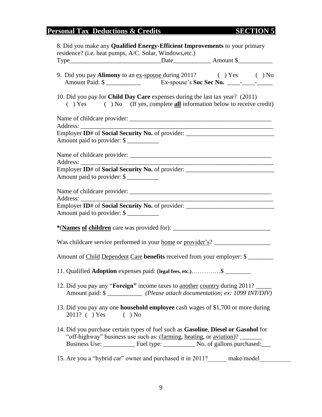## **Personal Tax Deductions & Credits SECTION 5**

| 8. Did you make any <b>Qualified Energy-Efficient Improvements</b> to your primary<br>residence? (i.e. heat pumps, A/C. Solar, Windows, etc.)                                  |
|--------------------------------------------------------------------------------------------------------------------------------------------------------------------------------|
|                                                                                                                                                                                |
| 9. Did you pay Alimony to an <u>ex-spouse</u> during 2011? () Yes () No<br>Amount Paid: \$                                                                                     |
| 10. Did you pay for <b>Child Day Care</b> expenses during the last tax year? (2011)<br>$( )$ Yes $( )$ No $($ If yes, complete <b>all</b> information below to receive credit) |
|                                                                                                                                                                                |
| Employer ID# of Social Security No. of provider: _______________________________                                                                                               |
| Amount paid to provider: \$                                                                                                                                                    |
|                                                                                                                                                                                |
| Employer ID# of Social Security No. of provider: _______________________________                                                                                               |
| Amount paid to provider: \$                                                                                                                                                    |
|                                                                                                                                                                                |
| Employer ID# of Social Security No. of provider: _______________________________                                                                                               |
| Amount paid to provider: \$                                                                                                                                                    |
|                                                                                                                                                                                |
| Was childcare service performed in your <u>home</u> or provider's?                                                                                                             |
| Amount of Child Dependent Care benefits received from your employer: \$                                                                                                        |
| 11. Qualified Adoption expenses paid: (legal fees, etc.) \$                                                                                                                    |
| 12. Did you pay any " <b>Foreign</b> " income taxes to <u>another country</u> during 2011?<br>Amount paid: \$ _____________ (Please attach documentation; ex: 1099 INT/DIV)    |
| 13. Did you pay any one <b>household employee</b> cash wages of \$1,700 or more during<br>2011? ( ) Yes ( ) No                                                                 |
| 14. Did you purchase certain types of fuel such as Gasoline, Diesel or Gasohol for<br>"off-highway" business use such as: (farming, heating, or aviation)?                     |
| 15. Are you a "hybrid car" owner and purchased it in 2011? make/model                                                                                                          |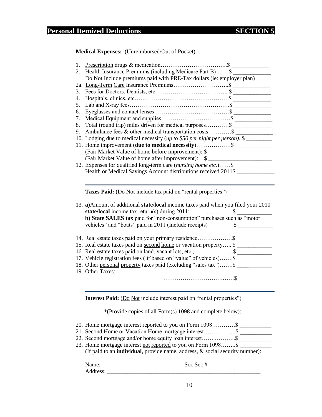**Medical Expenses:** (Unreimbursed/Out of Pocket)

| 1. |                                                                          |
|----|--------------------------------------------------------------------------|
| 2. | Health Insurance Premiums (including Medicare Part B) \$                 |
|    | Do Not Include premiums paid with PRE-Tax dollars (ie: employer plan)    |
|    |                                                                          |
| 3. |                                                                          |
| 4. |                                                                          |
| 5. |                                                                          |
| 6. |                                                                          |
| 7. |                                                                          |
| 8. | Total (round trip) miles driven for medical purposes\$                   |
| 9. |                                                                          |
|    | 10. Lodging due to medical necessity (up to \$50 per night per person)\$ |
|    | 11. Home improvement ( <b>due to medical necessity</b> )\$               |
|    | (Fair Market Value of home before improvement): \$                       |
|    |                                                                          |
|    | 12. Expenses for qualified long-term care ( <i>nursing home etc.</i> )\$ |
|    | Health or Medical Savings Account distributions received 2011\$          |

Taxes Paid: (Do Not include tax paid on "rental properties")

| 13. a) Amount of additional state/local income taxes paid when you filed your 2010 |
|------------------------------------------------------------------------------------|
|                                                                                    |
| b) State SALES tax paid for "non-consumption" purchases such as "motor             |
| vehicles" and "boats" paid in 2011 (Include receipts)                              |
|                                                                                    |
|                                                                                    |
| 15. Real estate taxes paid on <u>second home</u> or vacation property \$           |
|                                                                                    |
| 17. Vehicle registration fees (if based on "value" of vehicles)\$                  |
| 18. Other personal property taxes paid (excluding "sales tax")\$                   |
| 19. Other Taxes:                                                                   |
|                                                                                    |
|                                                                                    |

**Interest Paid:** (Do Not include interest paid on "rental properties")

\*(Provide copies of all Form(s) **1098** and complete below):

| 20. Home mortgage interest reported to you on Form 1098\$                                       |  |
|-------------------------------------------------------------------------------------------------|--|
|                                                                                                 |  |
|                                                                                                 |  |
| 23. Home mortgage interest <u>not reported</u> to you on Form 1098\$                            |  |
| (If paid to an <b>individual</b> , provide <u>name</u> , address, $\&$ social security number): |  |
|                                                                                                 |  |

| Name.                                     | Soc |
|-------------------------------------------|-----|
| $\Delta$<br>mess<br>$\sim$ - which $\sim$ |     |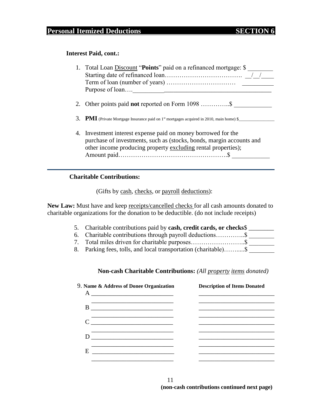## **Personal Itemized Deductions SECTION 6**

#### **Interest Paid, cont.:**

| 1. Total Loan Discount "Points" paid on a refinanced mortgage: \$                                 |
|---------------------------------------------------------------------------------------------------|
|                                                                                                   |
|                                                                                                   |
|                                                                                                   |
| 2. Other points paid <b>not</b> reported on Form 1098 \$                                          |
| <b>3. PMI</b> (Private Mortgage Insurance paid on $1st$ mortgages acquired in 2010, main home) \$ |
| 4. Investment interest expense paid on money borrowed for the                                     |
| purchase of investments, such as (stocks, bonds, margin accounts and                              |
| other income producing property excluding rental properties);                                     |
|                                                                                                   |

#### **Charitable Contributions:**

(Gifts by cash, checks, or payroll deductions):

**New Law:** Must have and keep receipts/cancelled checks for all cash amounts donated to charitable organizations for the donation to be deductible. (do not include receipts)

| 5. Charitable contributions paid by <b>cash</b> , <b>credit cards</b> , <b>or checks</b> |  |
|------------------------------------------------------------------------------------------|--|
|                                                                                          |  |
|                                                                                          |  |
|                                                                                          |  |

#### **Non-cash Charitable Contributions:** *(All property items donated)*

|   | 9. Name & Address of Donee Organization | <b>Description of Items Donated</b> |
|---|-----------------------------------------|-------------------------------------|
|   |                                         |                                     |
|   |                                         |                                     |
|   | $D \qquad \qquad$                       |                                     |
| E |                                         |                                     |
|   |                                         |                                     |

11 **(non-cash contributions continued next page)**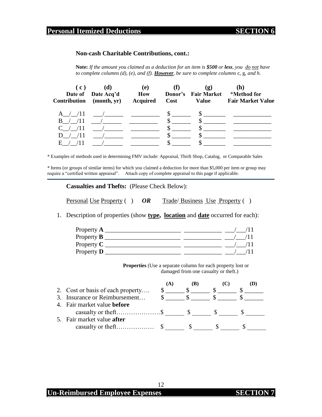### **Personal Itemized Deductions SECTION 6**

#### **Non-cash Charitable Contributions, cont.:**

**Note:** *If the amount you claimed as a deduction for an item is \$500 or less, you do not have to complete columns (d), (e), and (f). However, be sure to complete columns* c, g, *and h.*

| (C)<br><b>Contribution</b> | (d)<br>Date of Date Acq'd<br>(month, yr)                                | (e)<br><b>How</b><br><b>Acquired</b> | Cost | $\left( \mathbf{g}\right)$<br>Donor's Fair Market<br><b>Value</b> | (h)<br>*Method for<br><b>Fair Market Value</b> |
|----------------------------|-------------------------------------------------------------------------|--------------------------------------|------|-------------------------------------------------------------------|------------------------------------------------|
| A / 11                     | $\overline{a}$                                                          |                                      |      | Ъ.                                                                |                                                |
| /11<br>B.                  | $\overline{\phantom{a}}$ , and the contract of $\overline{\phantom{a}}$ |                                      |      |                                                                   |                                                |
| /11                        | $\overline{a}$                                                          |                                      |      |                                                                   |                                                |
| /11<br>$\mathbf{D}$        | $\sqrt{2}$                                                              |                                      |      |                                                                   |                                                |
| Н.                         |                                                                         |                                      |      |                                                                   |                                                |

\* Examples of methods used in determining FMV include: Appraisal, Thrift Shop, Catalog, or Comparable Sales

\* Items (or groups of similar items) for which you claimed a deduction for more than \$5,000 per item or group may require a "certified written appraisal". Attach copy of complete appraisal to this page if applicable.

**Casualties and Thefts:** (Please Check Below):

Personal Use Property ( ) OR Trade/ Business Use Property ( )

1. Description of properties (show **type, location** and **date** occurred for each):

| Property $\bf{A}$ |  |
|-------------------|--|
| Property $\bf{B}$ |  |
| Property $C$      |  |
| Property <b>D</b> |  |

**Properties** (Use a separate column for each property lost or damaged from one casualty or theft.)

| 2. Cost or basis of each property  |  |  |  |
|------------------------------------|--|--|--|
| 3. Insurance or Reimbursement      |  |  |  |
| 4. Fair market value <b>before</b> |  |  |  |
|                                    |  |  |  |
| 5. Fair market value after         |  |  |  |
|                                    |  |  |  |
|                                    |  |  |  |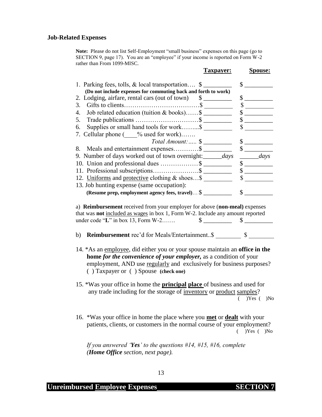#### **Job-Related Expenses**

**Note:** Please do not list Self-Employment "small business" expenses on this page (go to SECTION 9, page 17). You are an "employee" if your income is reported on Form W-2 rather than From 1099-MISC.

**Taxpayer: Spouse:**

### 1. Parking fees, tolls,  $\&$  local transportation....  $\$\underline{\hspace{1cm}}\$$ **(Do not include expenses for commuting back and forth to work)** 2. Lodging, airfare, rental cars (out of town)  $\quad \quad \$ 3. Gifts to clients………………………………\$ \_\_\_\_\_\_\_\_\_ \$ \_\_\_\_\_\_\_\_\_ 4. Job related education (tuition & books)……\$ \_\_\_\_\_\_\_\_\_ \$ \_\_\_\_\_\_\_\_\_ 5. Trade publications …………………………\$ \_\_\_\_\_\_\_\_\_ \$ \_\_\_\_\_\_\_\_\_ 6. Supplies or small hand tools for work……... $\sim$   $\sim$   $\sim$   $\sim$ 7. Cellular phone ( $\frac{\%}{\%}$  used for work)……. *Total Amount:…..* \$ \_\_\_\_\_\_\_\_\_ \$ \_\_\_\_\_\_\_\_\_ 8. Meals and entertainment expenses…………\$ \_\_\_\_\_\_\_\_\_ \$ \_\_\_\_\_\_\_\_\_ 9. Number of days worked out of town overnight:\_\_\_\_\_\_*days* \_\_\_\_\_\_*days* 10. Union and professional dues  $\frac{\$}{\$}$   $\frac{\$}{\$}$ 11. Professional subscriptions………………….\$ \_\_\_\_\_\_\_\_\_ \$ \_\_\_\_\_\_\_\_\_ 12. Uniforms and protective clothing & shoes...\$ \_\_\_\_\_\_\_\_\_\_\_\_\_\_\_\_\_\_\_\_\_\_\_\_\_\_\_\_\_\_\_\_ 13. Job hunting expense (same occupation): **(Resume prep, employment agency fees, travel)**… \$ \_\_\_\_\_\_\_\_\_ \$ \_\_\_\_\_\_\_\_\_

a) **Reimbursement** received from your employer for above (**non-meal)** expenses that was **not** included as wages in box 1, Form W-2. Include any amount reported under code " $L$ " in box 13, Form W-2…….  $\qquad$  \$  $\qquad$ 

- b) **Reimbursement** rec'd for Meals/Entertainment..\$ \$
- 14. \*As an employee, did either you or your spouse maintain an **office in the home** *for the convenience of your employer,* as a condition of your employment, AND use regularly and exclusively for business purposes? ( ) Taxpayer or ( ) Spouse **(check one)**
- 15. \*Was your office in home the **principal place** of business and used for any trade including for the storage of inventory or product samples? ( )Yes ( )No
- 16. \*Was your office in home the place where you **met** or **dealt** with your patients, clients, or customers in the normal course of your employment? ( )Yes ( )No

*If you answered "Yes" to the questions #14, #15, #16, complete (Home Office section, next page).*

**Unreimbursed Employee Expenses SEC**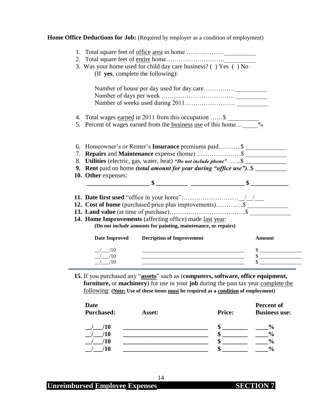|  | Home Office Deductions for Job: (Required by employer as a condition of employment) |
|--|-------------------------------------------------------------------------------------|
|--|-------------------------------------------------------------------------------------|

|                                             | 3. Was your home used for child day care business? () Yes () No                                                                                                                                   |               |
|---------------------------------------------|---------------------------------------------------------------------------------------------------------------------------------------------------------------------------------------------------|---------------|
|                                             | (If yes, complete the following):                                                                                                                                                                 |               |
|                                             |                                                                                                                                                                                                   |               |
|                                             |                                                                                                                                                                                                   |               |
|                                             |                                                                                                                                                                                                   |               |
|                                             | 4. Total wages earned in 2011 from this occupation \$                                                                                                                                             |               |
|                                             | 5. Percent of wages earned from the <b>business</b> use of this home                                                                                                                              |               |
|                                             | 7. Repairs and Maintenance expense (home)  \$<br>8. Utilities (electric, gas, water, heat) "Do not include phone"\$<br>9. Rent paid on home <i>(total amount for year during "office use")</i> \$ |               |
|                                             |                                                                                                                                                                                                   |               |
|                                             |                                                                                                                                                                                                   |               |
|                                             |                                                                                                                                                                                                   |               |
|                                             |                                                                                                                                                                                                   |               |
|                                             |                                                                                                                                                                                                   |               |
|                                             | <b>14. Home Improvements</b> (affecting office) made <u>last year</u> :<br>(Do not include amounts for painting, maintenance, or repairs)                                                         |               |
| Date Improved                               | <b>Decription of Improvement</b>                                                                                                                                                                  | <b>Amount</b> |
| /10                                         |                                                                                                                                                                                                   |               |
| 10. Other expenses:<br>$/$ /10<br>$/$ $/10$ |                                                                                                                                                                                                   |               |

15. If you purchased any "**assets**" such as (**computers**, software, office equipment, **furniture,** or **machinery**) for use in your **job** during the past tax year complete the following: **(Note: Use of these items must be required as a condition of employment)**

| Date<br><b>Purchased:</b> | Asset: | <b>Price:</b> | Percent of<br><b>Business use:</b> |
|---------------------------|--------|---------------|------------------------------------|
| /10                       |        |               | $\frac{6}{9}$                      |
| '10                       |        |               | $\frac{0}{0}$                      |
| '10                       |        |               | $\frac{6}{9}$                      |
| 10                        |        |               | $\frac{0}{0}$                      |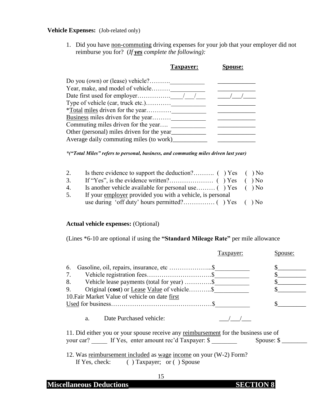#### **Vehicle Expenses:** (Job-related only)

1. Did you have non-commuting driving expenses for your job that your employer did not reimburse you for? (*If yes complete the following):*

| spouse:                                                                                                                                                                                                                                                                                          |
|--------------------------------------------------------------------------------------------------------------------------------------------------------------------------------------------------------------------------------------------------------------------------------------------------|
|                                                                                                                                                                                                                                                                                                  |
|                                                                                                                                                                                                                                                                                                  |
|                                                                                                                                                                                                                                                                                                  |
|                                                                                                                                                                                                                                                                                                  |
|                                                                                                                                                                                                                                                                                                  |
|                                                                                                                                                                                                                                                                                                  |
|                                                                                                                                                                                                                                                                                                  |
|                                                                                                                                                                                                                                                                                                  |
|                                                                                                                                                                                                                                                                                                  |
| Taxpayer:<br>Do you (own) or (lease) vehicle?<br>Year, make, and model of vehicle<br>Type of vehicle (car, truck etc.)<br><i>*Total miles driven for the year</i><br>Business miles driven for the year<br>Other (personal) miles driven for the year<br>Average daily commuting miles (to work) |

*\*("Total Miles" refers to personal, business, and commuting miles driven last year)*

| 2. |                                                           |  |
|----|-----------------------------------------------------------|--|
| 3. |                                                           |  |
| 4. |                                                           |  |
| 5. | If your employer provided you with a vehicle, is personal |  |
|    |                                                           |  |

#### **Actual vehicle expenses:** (Optional)

(Lines \*6-10 are optional if using the **"Standard Mileage Rate"** per mile allowance

| $\mathfrak{b}$ .                                   |  |
|----------------------------------------------------|--|
|                                                    |  |
| Vehicle lease payments (total for year) \$<br>8.   |  |
| Original (cost) or Lease Value of vehicle \$<br>9. |  |
| 10. Fair Market Value of vehicle on date first     |  |
|                                                    |  |

11. Did either you or your spouse receive any reimbursement for the business use of your car? If Yes, enter amount rec'd Taxpayer: \$ \_\_\_\_\_\_\_\_ Spouse: \$ \_\_\_\_\_\_\_

12. Was reimbursement included as wage income on your (W-2) Form? If Yes, check: ( ) Taxpayer; or ( ) Spouse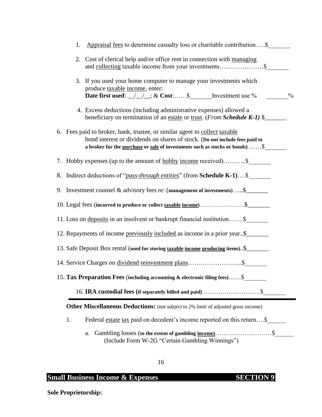| 1. | Appraisal fees to determine casualty loss or charitable contribution\$                                                                                                                                                                            |
|----|---------------------------------------------------------------------------------------------------------------------------------------------------------------------------------------------------------------------------------------------------|
|    | 2. Cost of clerical help and/or office rent in connection with managing                                                                                                                                                                           |
|    | 3. If you used your home computer to manage your investments which<br>produce taxable income, enter:<br>$\frac{0}{0}$                                                                                                                             |
|    | 4. Excess deductions (including administrative expenses) allowed a<br>beneficiary on termination of an estate or trust. (From Schedule K-1) \$                                                                                                    |
|    | 6. Fees paid to broker, bank, trustee, or similar agent to collect taxable<br>bond interest or dividends on shares of stock. (Do not include fees paid to<br>a broker for the <u>purchase</u> or sale of investments such as stocks or bonds)  \$ |
|    | 7. Hobby expenses (up to the amount of <u>hobby income</u> received)\$                                                                                                                                                                            |
|    | 8. Indirect deductions of " <i>pass-through entities</i> " (from <b>Schedule K-1</b> )\$                                                                                                                                                          |
|    | 9. Investment counsel $\&$ advisory fees re: (management of investments) $\$\_\_$                                                                                                                                                                 |
|    | 10. Legal fees (incurred to produce or collect taxable income)\$                                                                                                                                                                                  |
|    | 11. Loss on deposits in an insolvent or bankrupt financial institution\$                                                                                                                                                                          |
|    | 12. Repayments of income previously included as income in a prior year\$                                                                                                                                                                          |
|    | 13. Safe Deposit Box rental (used for storing taxable income producing items). \$                                                                                                                                                                 |
|    |                                                                                                                                                                                                                                                   |
|    | 15. Tax Preparation Fees (including accounting & electronic filing fees) \$                                                                                                                                                                       |
|    |                                                                                                                                                                                                                                                   |
|    | <b>Other Miscellaneous Deductions:</b> (not subject to 2% limit of adjusted gross income)                                                                                                                                                         |
| 1. | Federal estate tax paid on decedent's income reported on this return\$                                                                                                                                                                            |
|    | a.<br>(Include Form W-2G "Certain Gambling Winnings")                                                                                                                                                                                             |

## **Small Business Income & Expenses SECTION 9**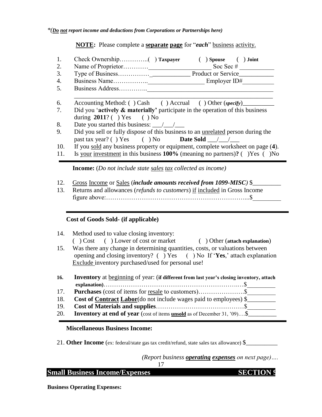**NOTE:** Please complete a **separate page** for "*each*" business activity.

|     | $)$ Spouse (<br>) Joint                                                                                                                                 |
|-----|---------------------------------------------------------------------------------------------------------------------------------------------------------|
| 2.  | Soc Sec $#$                                                                                                                                             |
| 3.  |                                                                                                                                                         |
| 4.  |                                                                                                                                                         |
| 5.  | Business Address                                                                                                                                        |
| 6.  | Accounting Method: () Cash () Accrual () Other (specify)                                                                                                |
| 7.  | Did you 'actively $\&$ materially' participate in the operation of this business<br>during $2011$ ? () Yes () No                                        |
| 8.  | Date you started this business: $\frac{1}{\sqrt{1-\frac{1}{2}}}$                                                                                        |
| 9.  | Did you sell or fully dispose of this business to an unrelated person during the<br>past tax year? ( ) Yes ( ) No <b>Date Sold</b> $\frac{1}{\sqrt{2}}$ |
| 10. | If you sold any business property or equipment, complete worksheet on page (4).                                                                         |
| 11. | Is your investment in this business $100\%$ (meaning no partners)? ( ) Yes ( ) No                                                                       |
|     | <b>Income:</b> ( <i>Do not include state sales tax collected as income</i> )                                                                            |

- 12. Gross Income or Sales (*include amounts received from 1099-MISC)* \$\_\_\_\_\_\_\_\_\_
- 13. Returns and allowances (*refunds to customers*) if included in Gross Income figure above:…………………………………………………………...\$\_\_\_\_\_\_\_\_\_

#### **Cost of Goods Sold- (if applicable)**

- 14. Method used to value closing inventory: ( ) Cost ( ) Lower of cost or market ( ) Other (**attach explanation**)
- 15. Was there any change in determining quantities, costs, or valuations between opening and closing inventory? ( ) Yes ( ) No If ‗**Yes**,' attach explanation Exclude inventory purchased/used for personal use!

| 16. | Inventory at beginning of year: (if different from last year's closing inventory, attach |
|-----|------------------------------------------------------------------------------------------|
|     |                                                                                          |
| 17. |                                                                                          |
| 18. | <b>Cost of Contract Labor</b> (do not include wages paid to employees) $\$               |
| 19. |                                                                                          |
| 20. | <b>Inventory at end of year</b> (cost of items <b>unsold</b> as of December 31, '09)\$   |

#### **Miscellaneous Business Income:**

21. **Other Income** (ex: federal/state gas tax credit/refund, state sales tax allowance) \$

*(Report business operating expenses on next page)….* 17

| <b>Small Business Income/Expenses</b> | <b>SECTION 9</b> |
|---------------------------------------|------------------|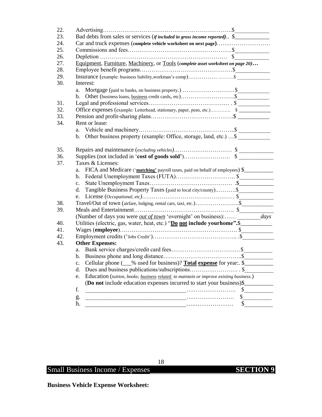| 22. |                                                                                              |     |
|-----|----------------------------------------------------------------------------------------------|-----|
| 23. | Bad debts from sales or services (if included in gross income reported). \$                  |     |
| 24. | Car and truck expenses (complete vehicle worksheet on next page)                             |     |
| 25. |                                                                                              |     |
| 26. |                                                                                              |     |
| 27. | Equipment, Furniture, Machinery, or Tools (complete asset worksheet on page 20)              |     |
| 28. |                                                                                              |     |
| 29. |                                                                                              |     |
| 30. | Interest:                                                                                    |     |
|     | Mortgage (paid to banks, on business property.) \$<br>a.                                     |     |
|     | b.                                                                                           |     |
| 31. |                                                                                              |     |
| 32. |                                                                                              |     |
| 33. |                                                                                              |     |
| 34. | Rent or lease:                                                                               |     |
|     |                                                                                              |     |
|     | b. Other business property (example: Office, storage, land, etc.) \$                         |     |
|     |                                                                                              |     |
| 35. |                                                                                              |     |
| 36. |                                                                                              |     |
| 37. | Taxes & Licenses:                                                                            |     |
|     | FICA and Medicare ('matching' payroll taxes, paid on behalf of employees) \$<br>a.           |     |
|     | b.                                                                                           |     |
|     | $c_{\cdot}$                                                                                  |     |
|     | Tangible Business Property Taxes (paid to local city/county)\$<br>d.                         |     |
|     | e.                                                                                           |     |
| 38. |                                                                                              |     |
| 39. |                                                                                              |     |
|     | (Number of days you were <i>out of town</i> 'overnight' on business): <i>days</i>            |     |
| 40. | Utilities (electric, gas, water, heat, etc.) "Do not include yourhome".\$                    |     |
| 41. |                                                                                              |     |
| 42. |                                                                                              |     |
| 43. | <b>Other Expenses:</b>                                                                       |     |
|     |                                                                                              |     |
|     |                                                                                              |     |
|     | Cellular phone (60% used for business)? Total expense for year: \$<br>c.                     |     |
|     | d.                                                                                           | . S |
|     | Education (tuition, books; business related to maintain or improve existing business.)<br>e. |     |
|     | (Do not include education expenses incurred to start your business)\$                        |     |
|     | f.                                                                                           | \$  |
|     | .                                                                                            | \$  |
|     | g.<br>h.                                                                                     | \$  |
|     |                                                                                              |     |

18

**Business Vehicle Expense Worksheet:**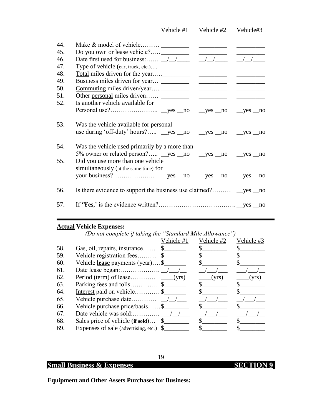|                                 |                                                                                                                   | Vehicle #1 | Vehicle #2 | Vehicle#3 |
|---------------------------------|-------------------------------------------------------------------------------------------------------------------|------------|------------|-----------|
| 44.<br>45.<br>46.<br>47.<br>48. | Date first used for business: $\frac{1}{1}$ $\frac{1}{1}$ $\frac{1}{1}$ $\frac{1}{1}$ $\frac{1}{1}$ $\frac{1}{1}$ |            |            |           |
| 49.                             |                                                                                                                   |            |            |           |
| 50.                             |                                                                                                                   |            |            |           |
| 51.                             |                                                                                                                   |            |            |           |
| 52.                             | Is another vehicle available for                                                                                  |            |            |           |
|                                 |                                                                                                                   |            |            |           |
| 53.                             | Was the vehicle available for personal<br>use during 'off-duty' hours? yes no yes no yes no yes no                |            |            |           |
| 54.                             | Was the vehicle used primarily by a more than<br>5% owner or related person? yes no yes no yes no yes no          |            |            |           |
| 55.                             | Did you use more than one vehicle<br>simultaneously (at the same time) for                                        |            |            |           |
|                                 |                                                                                                                   |            |            |           |
| 56.                             |                                                                                                                   |            |            |           |
| 57.                             |                                                                                                                   |            |            |           |

### **Actual Vehicle Expenses:**

|     | (Do not complete if taking the "Standard Mile Allowance") |                       |              |            |
|-----|-----------------------------------------------------------|-----------------------|--------------|------------|
|     |                                                           | Vehicle #1 Vehicle #2 |              | Vehicle #3 |
| 58. | Gas, oil, repairs, insurance \$                           |                       |              |            |
| 59. | Vehicle registration fees \$                              |                       |              |            |
| 60. | Vehicle <b>lease</b> payments (year)\$                    |                       |              |            |
| 61. |                                                           |                       |              |            |
| 62. |                                                           |                       | (yrs)        | (yrs)      |
| 63. | Parking fees and tolls  \$                                |                       |              |            |
| 64. | Interest paid on vehicle \$                               |                       |              |            |
| 65. |                                                           |                       |              |            |
| 66. | Vehicle purchase price/basis\$                            |                       | $\mathbf{s}$ |            |
| 67. |                                                           |                       |              |            |
| 68. | Sales price of vehicle (if sold) \$                       |                       |              |            |
| 69. | Expenses of sale (advertising, etc.) \$                   |                       |              |            |

19

## **Small Business & Expenses SECTION 9**

**Equipment and Other Assets Purchases for Business:**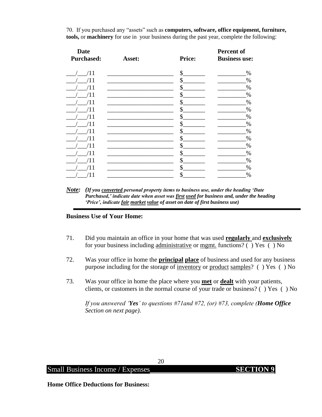70. If you purchased any "assets" such as **computers, software, office equipment, furniture, tools,** or **machinery** for use in your business during the past year, complete the following:

| <b>Date</b><br><b>Purchased:</b> | Asset: | <b>Price:</b> | Percent of<br><b>Business use:</b> |
|----------------------------------|--------|---------------|------------------------------------|
|                                  |        |               |                                    |
| /11                              |        | \$            | $\%$                               |
| ′11                              |        | \$            | $\%$                               |
|                                  |        | \$            | $\%$                               |
| '11                              |        | \$            | $\%$                               |
| $^{\prime}11$                    |        | \$            | $\%$                               |
| 11                               |        | \$            | $\%$                               |
| 11                               |        | \$            | $\%$                               |
| '11                              |        | \$            | $\%$                               |
| ′11                              |        | \$            | $\%$                               |
| 11                               |        | \$            | %                                  |
| 11                               |        | \$            | $\%$                               |
| 11                               |        | \$            | $\%$                               |
| 11                               |        | \$            | $\%$                               |
| 11                               |        | \$            | $\%$                               |
| /11                              |        | \$            | %                                  |

*Note: (If you converted personal property items to business use, under the heading "Date Purchased," indicate date when asset was first used for business and, under the heading "Price", indicate fair market value of asset on date of first business use)*

#### **Business Use of Your Home:**

- 71. Did you maintain an office in your home that was used **regularly** and **exclusively** for your business including administrative or mgmt. functions? ( ) Yes ( ) No
- 72. Was your office in home the **principal place** of business and used for any business purpose including for the storage of inventory or product samples? ( ) Yes ( ) No
- 73. Was your office in home the place where you **met** or **dealt** with your patients, clients, or customers in the normal course of your trade or business? ( ) Yes ( ) No

*If you answered "Yes" to questions #71and #72, (or) #73, complete (Home Office Section on next page).*

Small Business Income / Expenses **SECTION 9** 

**Home Office Deductions for Business:**

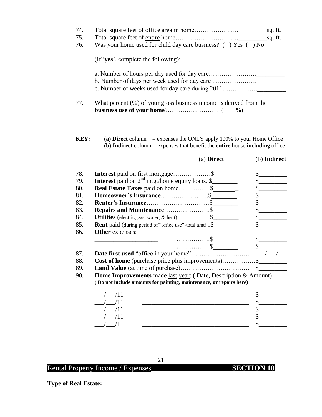| Was your home used for child day care business? () Yes () No                                      |                                                                                                                                                                       | sq. ft.<br>sq. ft.                                                                                                                                                                                                                                                                                                                                                           |
|---------------------------------------------------------------------------------------------------|-----------------------------------------------------------------------------------------------------------------------------------------------------------------------|------------------------------------------------------------------------------------------------------------------------------------------------------------------------------------------------------------------------------------------------------------------------------------------------------------------------------------------------------------------------------|
| (If 'yes', complete the following):                                                               |                                                                                                                                                                       |                                                                                                                                                                                                                                                                                                                                                                              |
|                                                                                                   |                                                                                                                                                                       |                                                                                                                                                                                                                                                                                                                                                                              |
| What percent $(\%)$ of your gross business income is derived from the                             |                                                                                                                                                                       |                                                                                                                                                                                                                                                                                                                                                                              |
|                                                                                                   |                                                                                                                                                                       |                                                                                                                                                                                                                                                                                                                                                                              |
| KEY:                                                                                              | (a) Direct column = expenses the ONLY apply 100% to your Home Office<br>(b) Indirect column $=$ expenses that benefit the entire house including office<br>(a) Direct |                                                                                                                                                                                                                                                                                                                                                                              |
|                                                                                                   |                                                                                                                                                                       |                                                                                                                                                                                                                                                                                                                                                                              |
| Interest paid on first mortgage \$<br><b>Interest</b> paid on $2^{nd}$ mtg./home equity loans. \$ |                                                                                                                                                                       | $\frac{\S_{\frac{1}{2}}}{\S_{\frac{1}{2}}}{\S_{\frac{1}{2}}}{\S_{\frac{1}{2}}}{\S_{\frac{1}{2}}}{\S_{\frac{1}{2}}}{\S_{\frac{1}{2}}}{\S_{\frac{1}{2}}}{\S_{\frac{1}{2}}}{\S_{\frac{1}{2}}}{\S_{\frac{1}{2}}}{\S_{\frac{1}{2}}}{\S_{\frac{1}{2}}}{\S_{\frac{1}{2}}}{\S_{\frac{1}{2}}}{\S_{\frac{1}{2}}}{\S_{\frac{1}{2}}}{\S_{\frac{1}{2}}}{\S_{\frac{1}{2}}}{\S_{\frac{1}{2$ |
| Real Estate Taxes paid on home\$                                                                  |                                                                                                                                                                       |                                                                                                                                                                                                                                                                                                                                                                              |
|                                                                                                   |                                                                                                                                                                       | $\frac{\text{S}}{\text{S}}$                                                                                                                                                                                                                                                                                                                                                  |
|                                                                                                   |                                                                                                                                                                       |                                                                                                                                                                                                                                                                                                                                                                              |
|                                                                                                   |                                                                                                                                                                       |                                                                                                                                                                                                                                                                                                                                                                              |
| Utilities (electric, gas, water, & heat)\$                                                        |                                                                                                                                                                       |                                                                                                                                                                                                                                                                                                                                                                              |
| <b>Rent</b> paid (during period of "office use"-total amt) \$                                     |                                                                                                                                                                       | s                                                                                                                                                                                                                                                                                                                                                                            |
| Other expenses:                                                                                   |                                                                                                                                                                       |                                                                                                                                                                                                                                                                                                                                                                              |
|                                                                                                   |                                                                                                                                                                       | $\sim$<br>\$                                                                                                                                                                                                                                                                                                                                                                 |
|                                                                                                   |                                                                                                                                                                       | (b) Indirect<br>$\mathbb{S}$<br>s<br>$\frac{\text{S}}{\text{S}}$<br>$\frac{1}{2}$                                                                                                                                                                                                                                                                                            |

89. **Land Value** (at time of purchase)…………………………… \$\_\_\_\_\_\_\_\_\_

90. **Home Improvements** made last year: ( Date, Description & Amount) **( Do not include amounts for painting, maintenance, or repairs here)**

## Rental Property Income / Expenses **SECTION 10**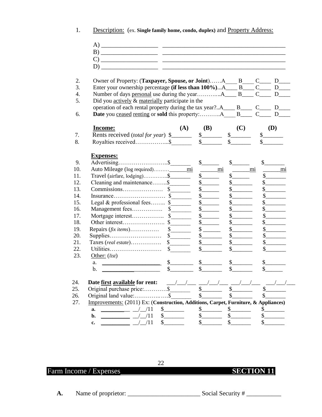1. Description: (ex. **Single family home, condo, duplex)** and Property Address:

| Owner of Property: (Taxpayer, Spouse, or Joint)A B C_ D_                                                                                               |               |                             |               |                |
|--------------------------------------------------------------------------------------------------------------------------------------------------------|---------------|-----------------------------|---------------|----------------|
| Enter your ownership percentage (if less than 100%)A____ B____ C____ D____                                                                             |               |                             |               |                |
|                                                                                                                                                        |               |                             |               |                |
| Did you actively & materially participate in the                                                                                                       |               |                             |               |                |
| operation of each rental property during the tax year?A____ B____ C____ D_<br><b>Date</b> you ceased renting or sold this property:A B________ C______ |               |                             |               |                |
|                                                                                                                                                        |               |                             |               |                |
| <b>Income:</b>                                                                                                                                         | (A)           | <b>(B)</b>                  | (C)           | <b>(D)</b>     |
| Rents received (total for year) \$                                                                                                                     |               |                             | $\frac{1}{2}$ | $\frac{1}{2}$  |
|                                                                                                                                                        |               | s                           |               |                |
|                                                                                                                                                        |               |                             |               |                |
| <b>Expenses:</b>                                                                                                                                       |               |                             |               |                |
|                                                                                                                                                        |               | $\frac{1}{2}$               | $\mathcal{S}$ | \$             |
|                                                                                                                                                        |               | mi                          | mi            | m <sub>1</sub> |
| Travel (airfare, lodging)\$                                                                                                                            |               | $s$ <sub>________</sub>     |               |                |
| Cleaning and maintenance\$                                                                                                                             |               | s                           |               |                |
|                                                                                                                                                        |               |                             |               |                |
|                                                                                                                                                        |               | \$                          | \$            |                |
| Legal & professional fees \$                                                                                                                           |               | $\mathbb{S}$                | $\mathcal{S}$ |                |
|                                                                                                                                                        |               | $\mathbb{S}$                |               |                |
|                                                                                                                                                        |               | $\frac{\text{S}}{\text{S}}$ |               |                |
|                                                                                                                                                        |               | \$                          |               |                |
| Repairs $(fix \text{ items})$                                                                                                                          | $\frac{1}{2}$ |                             |               |                |
|                                                                                                                                                        |               |                             |               |                |
|                                                                                                                                                        |               |                             |               |                |
|                                                                                                                                                        |               |                             |               |                |
| Other: $(list)$                                                                                                                                        |               |                             |               |                |
| a.                                                                                                                                                     | $\sim$        | $\sim$                      | $\sim$        |                |
| b.                                                                                                                                                     | $\mathbb{S}$  |                             |               |                |

Farm Income / Expenses **SECTION 11**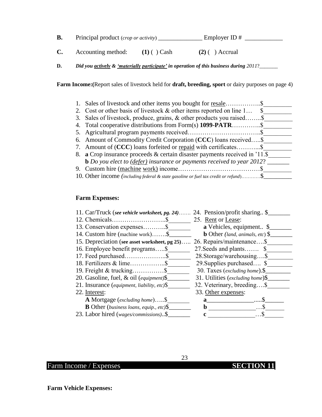| B. | Principal product (crop or activity) | Employer ID $#$ |  |
|----|--------------------------------------|-----------------|--|
|    |                                      |                 |  |

**C.** Accounting method: **(1)**  $\overrightarrow{)}$  Cash **(2)**  $\overrightarrow{)}$  Accrual

**D.** *Did you actively & 'materially participate' in operation of this business during 2011?\_\_\_\_\_\_* 

**Farm Income:(**Report sales of livestock held for **draft, breeding, sport** or dairy purposes on page 4)

| Sales of livestock and other items you bought for <u>resale</u> \$                     |
|----------------------------------------------------------------------------------------|
| 2. Cost or other basis of livestock $\&$ other items reported on line 1                |
| 3. Sales of livestock, produce, grains, & other products you raised\$                  |
|                                                                                        |
|                                                                                        |
| 6. Amount of Commodity Credit Corporation (CCC) loans received\$                       |
| 7. Amount of (CCC) loans forfeited or <u>repaid</u> with certificates\$                |
| 8. a Crop insurance proceeds $&$ certain disaster payments received in '11.\$          |
| <b>b</b> Do you elect to $(\text{defer})$ insurance or payments received to year 2012? |
|                                                                                        |
| 10. Other income (including federal & state gasoline or fuel tax credit or refund) \$  |

#### **Farm Expenses:**

| 11. Car/Truck (see vehicle worksheet, pg. 24)   | 24. Pension/profit sharing \$           |
|-------------------------------------------------|-----------------------------------------|
|                                                 | 25. Rent or Lease:                      |
| 13. Conservation expenses\$                     | <b>a</b> Vehicles, equipment \$         |
| 14. Custom hire (machine work)\$                | <b>b</b> Other (land, animals, etc) $\$ |
| 15. Depreciation (see asset worksheet, pg 25)   | 26. Repairs/maintenance\$               |
| 16. Employee benefit programs\$                 | 27. Seeds and plants \$                 |
| 17. Feed purchased\$                            | 28. Storage/warehousing\$               |
|                                                 | 29. Supplies purchased \$               |
|                                                 | 30. Taxes (excluding home). \$          |
| 20. Gasoline, fuel, & oil (equipment)\$         | 31. Utilities (excluding home)\$        |
| 21. Insurance (equipment, liability, etc) $\$   | 32. Veterinary, breeding\$              |
| 22. Interest:                                   | 33. Other expenses:                     |
| <b>A</b> Mortgage (excluding home)\$            | $\mathbf{a}$ and $\mathbf{a}$           |
| <b>B</b> Other (business loans, equip., etc) \$ | $\mathbf b$                             |
| 23. Labor hired (wages/commissions)\$           | c                                       |
|                                                 |                                         |

Farm Income / Expenses **SECTION 11**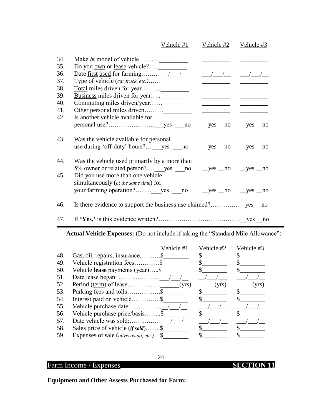|     | Vehicle #1                                                  | Vehicle #2                                                                                                             | Vehicle $#3$                                     |
|-----|-------------------------------------------------------------|------------------------------------------------------------------------------------------------------------------------|--------------------------------------------------|
| 34. |                                                             |                                                                                                                        |                                                  |
| 35. |                                                             |                                                                                                                        |                                                  |
| 36. |                                                             |                                                                                                                        |                                                  |
| 37. | Type of vehicle (car,truck, etc.)                           | <u> De Barbara (Barbara)</u>                                                                                           | <u> 1999 - Johann Barnett, fransk politike</u> r |
| 38. |                                                             |                                                                                                                        |                                                  |
| 39. |                                                             |                                                                                                                        |                                                  |
| 40. |                                                             |                                                                                                                        |                                                  |
| 41. |                                                             | <u> Albany a Chang and State and State and State and State and State and State and State and State and State and S</u> |                                                  |
| 42. | Is another vehicle available for                            |                                                                                                                        |                                                  |
|     |                                                             |                                                                                                                        | $yes$ no $yes$ no                                |
| 43. | Was the vehicle available for personal                      |                                                                                                                        |                                                  |
|     | use during 'off-duty' hours? yes no _yes no _yes no _yes no |                                                                                                                        |                                                  |
| 44. | Was the vehicle used primarily by a more than               |                                                                                                                        |                                                  |
|     | 5% owner or related person? yes no _yes no _yes no _yes no  |                                                                                                                        |                                                  |
| 45. | Did you use more than one vehicle                           |                                                                                                                        |                                                  |
|     | simultaneously (at the same time) for                       |                                                                                                                        |                                                  |
|     | your farming operation? yes __no ___yes __no ___yes __no    |                                                                                                                        |                                                  |
| 46. |                                                             |                                                                                                                        |                                                  |
| 47. |                                                             |                                                                                                                        |                                                  |

Actual Vehicle Expenses: (Do not include if taking the "Standard Mile Allowance")

|     |                                                 | Vehicle #1 | Vehicle #2 | Vehicle #3 |
|-----|-------------------------------------------------|------------|------------|------------|
| 48. | Gas, oil, repairs, insurance\$                  |            |            |            |
| 49. | Vehicle registration fees\$                     |            |            |            |
| 50. | Vehicle <b>lease</b> payments (year)\$          |            |            |            |
| 51. |                                                 |            |            |            |
| 52. |                                                 | (yrs)      | (yrs)      | (yrs)      |
| 53. |                                                 |            |            |            |
| 54. | Interest paid on vehicle\$                      |            |            |            |
| 55. |                                                 |            |            |            |
| 56. | Vehicle purchase price/basis\$                  |            |            |            |
| 57. | Date vehicle was sold:                          |            |            |            |
| 58. |                                                 |            |            |            |
| 59. | Expenses of sale ( <i>advertising, etc.</i> )\$ |            |            |            |

## Farm Income / Expenses **SECTION 11**

**Equipment and Other Assests Purchased for Farm:**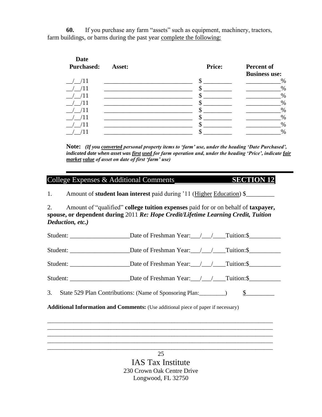**60.** If you purchase any farm "assets" such as equipment, machinery, tractors, farm buildings, or barns during the past year complete the following:

| <b>Date</b><br><b>Purchased:</b> | Asset: | <b>Price:</b> | Percent of<br><b>Business use:</b> |
|----------------------------------|--------|---------------|------------------------------------|
|                                  |        |               | $\%$                               |
|                                  |        |               | $\%$                               |
|                                  |        |               | $\%$                               |
|                                  |        |               | $\%$                               |
|                                  |        |               | $\%$                               |
|                                  |        |               | $\%$                               |
|                                  |        |               | $\%$                               |
|                                  |        |               | $\%$                               |

**Note:** *(If you converted personal property items to "farm" use, under the heading "Date Purchased", indicated date when asset was first used for farm operation and, under the heading "Price", indicate fair market value of asset on date of first "farm" use)*

#### College Expenses & Additional Comments **SECTION 12**

1. Amount of **student loan interest** paid during '11 (Higher Education) \$\_\_\_\_\_\_\_\_\_

2. Amount of "qualified" **college tuition expenses** paid for or on behalf of **taxpayer, spouse, or dependent during** 2011 *Re: Hope Credit/Lifetime Learning Credit, Tuition Deduction, etc.)*

Student: Date of Freshman Year:  $\frac{1}{2}$  Tuition:\$ Student: \_\_\_\_\_\_\_\_\_\_\_\_\_\_\_\_\_\_\_\_\_\_\_\_\_Date of Freshman Year: \_\_\_/\_\_\_/\_\_\_\_\_Tuition:\$\_\_\_\_\_\_\_\_\_\_\_\_\_\_\_\_\_\_\_\_

Student: Date of Freshman Year: / / Tuition: \$

Student: Date of Freshman Year:  $\frac{1}{2}$  Tuition: \$

3. State 529 Plan Contributions: (Name of Sponsoring Plan:  $\qquad \qquad$ ) \$

\_\_\_\_\_\_\_\_\_\_\_\_\_\_\_\_\_\_\_\_\_\_\_\_\_\_\_\_\_\_\_\_\_\_\_\_\_\_\_\_\_\_\_\_\_\_\_\_\_\_\_\_\_\_\_\_\_\_\_\_\_\_\_\_\_\_\_\_\_\_\_\_\_\_\_\_\_\_ \_\_\_\_\_\_\_\_\_\_\_\_\_\_\_\_\_\_\_\_\_\_\_\_\_\_\_\_\_\_\_\_\_\_\_\_\_\_\_\_\_\_\_\_\_\_\_\_\_\_\_\_\_\_\_\_\_\_\_\_\_\_\_\_\_\_\_\_\_\_\_\_\_\_\_\_\_\_ \_\_\_\_\_\_\_\_\_\_\_\_\_\_\_\_\_\_\_\_\_\_\_\_\_\_\_\_\_\_\_\_\_\_\_\_\_\_\_\_\_\_\_\_\_\_\_\_\_\_\_\_\_\_\_\_\_\_\_\_\_\_\_\_\_\_\_\_\_\_\_\_\_\_\_\_\_\_ \_\_\_\_\_\_\_\_\_\_\_\_\_\_\_\_\_\_\_\_\_\_\_\_\_\_\_\_\_\_\_\_\_\_\_\_\_\_\_\_\_\_\_\_\_\_\_\_\_\_\_\_\_\_\_\_\_\_\_\_\_\_\_\_\_\_\_\_\_\_\_\_\_\_\_\_\_\_

**Additional Information and Comments:** (Use additional piece of paper if necessary)

\_\_\_\_\_\_\_\_\_\_\_\_\_\_\_\_\_\_\_\_\_\_\_\_\_\_\_\_\_\_\_\_\_\_\_\_\_\_\_\_\_\_\_\_\_\_\_\_\_\_\_\_\_\_\_\_\_\_\_\_\_\_\_\_\_\_\_\_\_\_\_\_\_\_\_\_\_\_ 25 IAS Tax Institute 230 Crown Oak Centre Drive Longwood, FL 32750